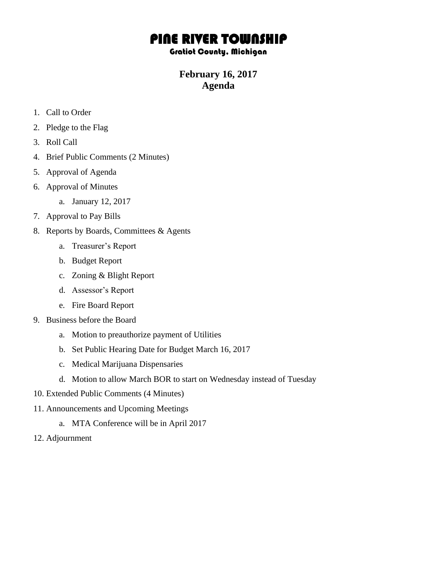## PINE RIVER TOWNSHIP

## Gratiot County, Michigan

## **February 16, 2017 Agenda**

- 1. Call to Order
- 2. Pledge to the Flag
- 3. Roll Call
- 4. Brief Public Comments (2 Minutes)
- 5. Approval of Agenda
- 6. Approval of Minutes
	- a. January 12, 2017
- 7. Approval to Pay Bills
- 8. Reports by Boards, Committees & Agents
	- a. Treasurer's Report
	- b. Budget Report
	- c. Zoning & Blight Report
	- d. Assessor's Report
	- e. Fire Board Report
- 9. Business before the Board
	- a. Motion to preauthorize payment of Utilities
	- b. Set Public Hearing Date for Budget March 16, 2017
	- c. Medical Marijuana Dispensaries
	- d. Motion to allow March BOR to start on Wednesday instead of Tuesday
- 10. Extended Public Comments (4 Minutes)
- 11. Announcements and Upcoming Meetings
	- a. MTA Conference will be in April 2017
- 12. Adjournment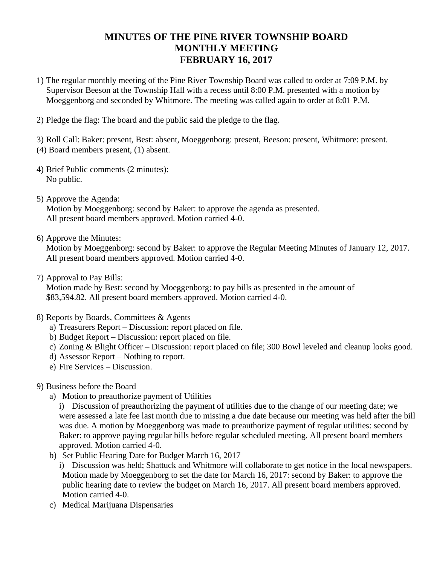## **MINUTES OF THE PINE RIVER TOWNSHIP BOARD MONTHLY MEETING FEBRUARY 16, 2017**

- 1) The regular monthly meeting of the Pine River Township Board was called to order at 7:09 P.M. by Supervisor Beeson at the Township Hall with a recess until 8:00 P.M. presented with a motion by Moeggenborg and seconded by Whitmore. The meeting was called again to order at 8:01 P.M.
- 2) Pledge the flag: The board and the public said the pledge to the flag.

3) Roll Call: Baker: present, Best: absent, Moeggenborg: present, Beeson: present, Whitmore: present. (4) Board members present, (1) absent.

- 4) Brief Public comments (2 minutes): No public.
- 5) Approve the Agenda:

Motion by Moeggenborg: second by Baker: to approve the agenda as presented. All present board members approved. Motion carried 4-0.

6) Approve the Minutes:

Motion by Moeggenborg: second by Baker: to approve the Regular Meeting Minutes of January 12, 2017. All present board members approved. Motion carried 4-0.

7) Approval to Pay Bills:

Motion made by Best: second by Moeggenborg: to pay bills as presented in the amount of \$83,594.82. All present board members approved. Motion carried 4-0.

- 8) Reports by Boards, Committees & Agents
	- a) Treasurers Report Discussion: report placed on file.
	- b) Budget Report Discussion: report placed on file.
	- c) Zoning & Blight Officer Discussion: report placed on file; 300 Bowl leveled and cleanup looks good.
	- d) Assessor Report Nothing to report.
	- e) Fire Services Discussion.
- 9) Business before the Board
	- a) Motion to preauthorize payment of Utilities

i) Discussion of preauthorizing the payment of utilities due to the change of our meeting date; we were assessed a late fee last month due to missing a due date because our meeting was held after the bill was due. A motion by Moeggenborg was made to preauthorize payment of regular utilities: second by Baker: to approve paying regular bills before regular scheduled meeting. All present board members approved. Motion carried 4-0.

- b) Set Public Hearing Date for Budget March 16, 2017
	- i) Discussion was held; Shattuck and Whitmore will collaborate to get notice in the local newspapers. Motion made by Moeggenborg to set the date for March 16, 2017: second by Baker: to approve the public hearing date to review the budget on March 16, 2017. All present board members approved. Motion carried 4-0.
- c) Medical Marijuana Dispensaries